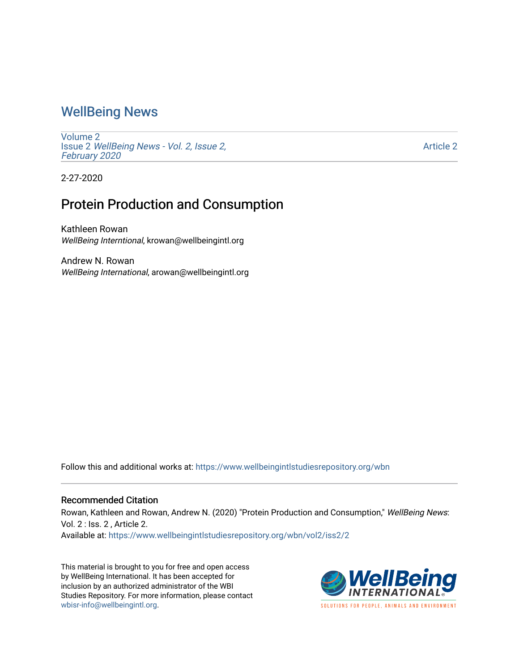## [WellBeing News](https://www.wellbeingintlstudiesrepository.org/wbn)

[Volume 2](https://www.wellbeingintlstudiesrepository.org/wbn/vol2) Issue 2 [WellBeing News - Vol. 2, Issue 2,](https://www.wellbeingintlstudiesrepository.org/wbn/vol2/iss2)  [February 2020](https://www.wellbeingintlstudiesrepository.org/wbn/vol2/iss2)

[Article 2](https://www.wellbeingintlstudiesrepository.org/wbn/vol2/iss2/2) 

2-27-2020

## Protein Production and Consumption

Kathleen Rowan WellBeing Interntional, krowan@wellbeingintl.org

Andrew N. Rowan WellBeing International, arowan@wellbeingintl.org

Follow this and additional works at: [https://www.wellbeingintlstudiesrepository.org/wbn](https://www.wellbeingintlstudiesrepository.org/wbn?utm_source=www.wellbeingintlstudiesrepository.org%2Fwbn%2Fvol2%2Fiss2%2F2&utm_medium=PDF&utm_campaign=PDFCoverPages)

## Recommended Citation

Rowan, Kathleen and Rowan, Andrew N. (2020) "Protein Production and Consumption," WellBeing News: Vol. 2 : Iss. 2 , Article 2.

Available at: [https://www.wellbeingintlstudiesrepository.org/wbn/vol2/iss2/2](https://www.wellbeingintlstudiesrepository.org/wbn/vol2/iss2/2?utm_source=www.wellbeingintlstudiesrepository.org%2Fwbn%2Fvol2%2Fiss2%2F2&utm_medium=PDF&utm_campaign=PDFCoverPages)

This material is brought to you for free and open access by WellBeing International. It has been accepted for inclusion by an authorized administrator of the WBI Studies Repository. For more information, please contact [wbisr-info@wellbeingintl.org](mailto:wbisr-info@wellbeingintl.org).



SOLUTIONS FOR PEOPLE. ANIMALS AND ENVIRONMENT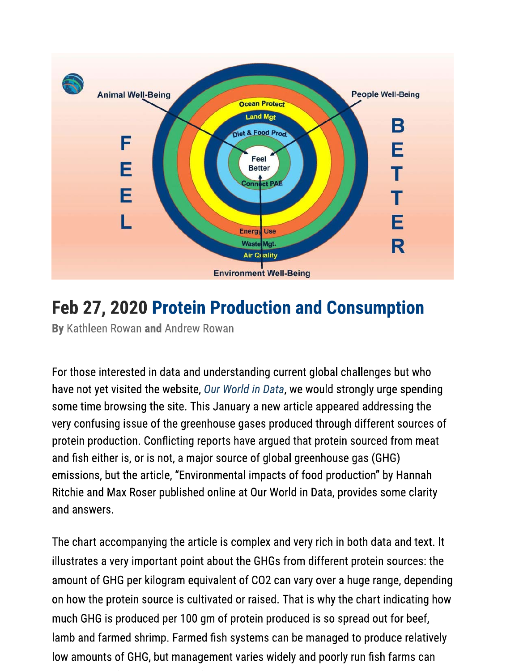

## **Feb 27, 2020 Protein Production and Consumption**

By Kathleen Rowan and Andrew Rowan

For those interested in data and understanding current global challenges but who have not yet visited the website, Our World in Data, we would strongly urge spending some time browsing the site. This January a new article appeared addressing the very confusing issue of the greenhouse gases produced through different sources of protein production. Conflicting reports have argued that protein sourced from meat and fish either is, or is not, a major source of global greenhouse gas (GHG) emissions, but the article, "Environmental impacts of food production" by Hannah Ritchie and Max Roser published online at Our World in Data, provides some clarity and answers.

The chart accompanying the article is complex and very rich in both data and text. It illustrates a very important point about the GHGs from different protein sources: the amount of GHG per kilogram equivalent of CO2 can vary over a huge range, depending on how the protein source is cultivated or raised. That is why the chart indicating how much GHG is produced per 100 gm of protein produced is so spread out for beef, lamb and farmed shrimp. Farmed fish systems can be managed to produce relatively low amounts of GHG, but management varies widely and poorly run fish farms can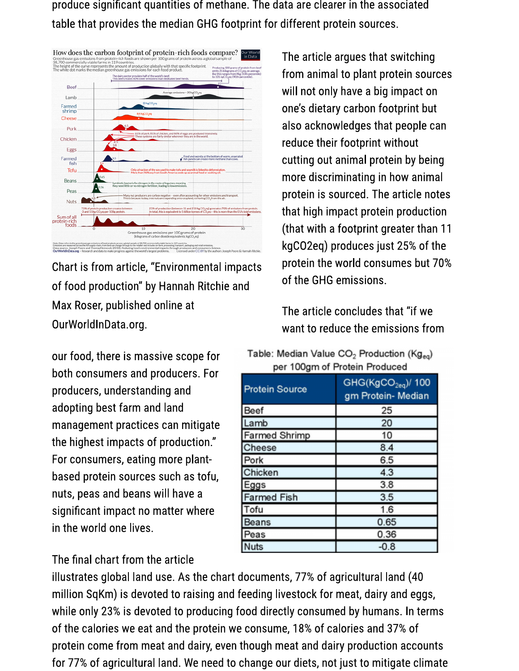produce significant quantities of methane. The data are clearer in the associated table that provides the median GHG footprint for different protein sources.



Chart is from article, "Environmental impacts of food production" by Hannah Ritchie and Max Roser, published online at OurWorldInData.org.

our food, there is massive scope for both consumers and producers. For producers, understanding and adopting best farm and land management practices can mitigate the highest impacts of production." For consumers, eating more plantbased protein sources such as tofu, nuts, peas and beans will have a significant impact no matter where in the world one lives.

The article argues that switching from animal to plant protein sources will not only have a big impact on one's dietary carbon footprint but also acknowledges that people can reduce their footprint without cutting out animal protein by being more discriminating in how animal protein is sourced. The article notes that high impact protein production (that with a footprint greater than 11) kgCO2eq) produces just 25% of the protein the world consumes but 70% of the GHG emissions.

The article concludes that "if we want to reduce the emissions from

|                               | Table: Median Value CO $_2$ Production (Kg $_{\rm eq}$ ) |  |
|-------------------------------|----------------------------------------------------------|--|
| per 100gm of Protein Produced |                                                          |  |
|                               |                                                          |  |

| <b>Protein Source</b> | GHG(KgCO <sub>2eq</sub> )/ 100<br>gm Protein- Median |
|-----------------------|------------------------------------------------------|
| Beef                  | 25                                                   |
| Lamb                  | 20                                                   |
| <b>Farmed Shrimp</b>  | 10                                                   |
| Cheese                | 8.4                                                  |
| Pork                  | 6.5                                                  |
| Chicken               | 4.3                                                  |
| Eggs                  | 3.8                                                  |
| <b>Farmed Fish</b>    | 3.5                                                  |
| Tofu                  | 1.6                                                  |
| Beans                 | 0.65                                                 |
| Peas                  | 0.36                                                 |
| Nuts                  | $-0.8$                                               |

The final chart from the article

illustrates global land use. As the chart documents, 77% of agricultural land (40 million SqKm) is devoted to raising and feeding livestock for meat, dairy and eggs, while only 23% is devoted to producing food directly consumed by humans. In terms of the calories we eat and the protein we consume, 18% of calories and 37% of protein come from meat and dairy, even though meat and dairy production accounts for 77% of agricultural land. We need to change our diets, not just to mitigate climate